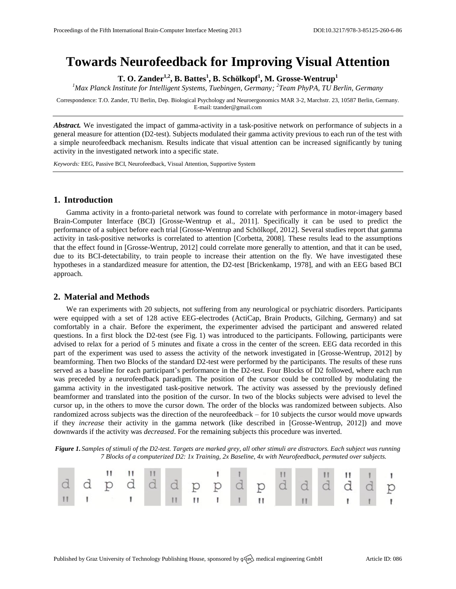# **Towards Neurofeedback for Improving Visual Attention**

**T. O. Zander1,2, B. Battes<sup>1</sup> , B. Schölkopf<sup>1</sup> , M. Grosse-Wentrup<sup>1</sup>**

*<sup>1</sup>Max Planck Institute for Intelligent Systems, Tuebingen, Germany; 2 Team PhyPA, TU Berlin, Germany*

Correspondence: T.O. Zander, TU Berlin, Dep. Biological Psychology and Neuroergonomics MAR 3-2, Marchstr. 23, 10587 Berlin, Germany. E-ma[il: tzander@gmail.com](mailto::%20tzander@gmail.com)

*Abstract.* We investigated the impact of gamma-activity in a task-positive network on performance of subjects in a general measure for attention (D2-test). Subjects modulated their gamma activity previous to each run of the test with a simple neurofeedback mechanism. Results indicate that visual attention can be increased significantly by tuning activity in the investigated network into a specific state.

*Keywords:* EEG, Passive BCI, Neurofeedback, Visual Attention, Supportive System

## **1. Introduction**

Gamma activity in a fronto-parietal network was found to correlate with performance in motor-imagery based Brain-Computer Interface (BCI) [Grosse-Wentrup et al., 2011]. Specifically it can be used to predict the performance of a subject before each trial [Grosse-Wentrup and Schölkopf, 2012]. Several studies report that gamma activity in task-positive networks is correlated to attention [Corbetta, 2008]. These results lead to the assumptions that the effect found in [Grosse-Wentrup, 2012] could correlate more generally to attention, and that it can be used, due to its BCI-detectability, to train people to increase their attention on the fly. We have investigated these hypotheses in a standardized measure for attention, the D2-test [Brickenkamp, 1978], and with an EEG based BCI approach.

## **2. Material and Methods**

We ran experiments with 20 subjects, not suffering from any neurological or psychiatric disorders. Participants were equipped with a set of 128 active EEG-electrodes (ActiCap, Brain Products, Gilching, Germany) and sat comfortably in a chair. Before the experiment, the experimenter advised the participant and answered related questions. In a first block the D2-test (see Fig. 1) was introduced to the participants. Following, participants were advised to relax for a period of 5 minutes and fixate a cross in the center of the screen. EEG data recorded in this part of the experiment was used to assess the activity of the network investigated in [Grosse-Wentrup, 2012] by beamforming. Then two Blocks of the standard D2-test were performed by the participants. The results of these runs served as a baseline for each participant's performance in the D2-test. Four Blocks of D2 followed, where each run was preceded by a neurofeedback paradigm. The position of the cursor could be controlled by modulating the gamma activity in the investigated task-positive network. The activity was assessed by the previously defined beamformer and translated into the position of the cursor. In two of the blocks subjects were advised to level the cursor up, in the others to move the cursor down. The order of the blocks was randomized between subjects. Also randomized across subjects was the direction of the neurofeedback – for 10 subjects the cursor would move upwards if they *increase* their activity in the gamma network (like described in [Grosse-Wentrup, 2012]) and move downwards if the activity was *decreased*. For the remaining subjects this procedure was inverted.

*Figure 1. Samples of stimuli of the D2-test. Targets are marked grey, all other stimuli are distractors. Each subject was running 7 Blocks of a computerized D2: 1x Training, 2x Baseline, 4x with Neurofeedback, permuted over subjects.*

|  | dd p d d p p d d d d d d p d d d d p |  |  |  |  |  |  |
|--|--------------------------------------|--|--|--|--|--|--|
|  |                                      |  |  |  |  |  |  |